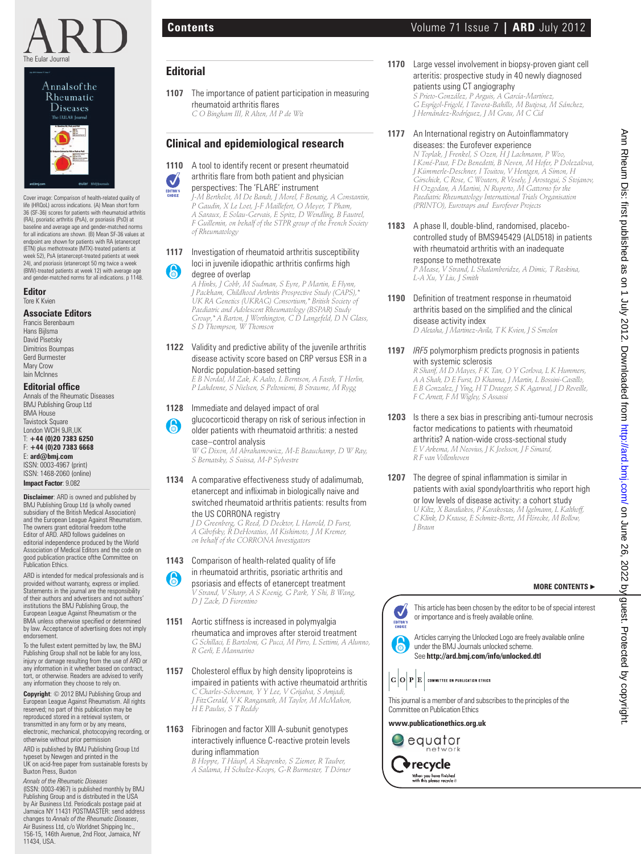



Cover image: Comparison of health-related quality of life (HRQoL) across indications. (A) Mean short form 36 (SF-36) scores for patients with rheumatoid arthritis (RA), psoriatic arthritis (PsA), or psoriasis (PsO) at baseline and average age and gender-matched norms for all indications are shown. (B) Mean SF-36 values at endpoint are shown for patients with RA (etanercept (ETN) plus methotrexate (MTX)-treated patients at week 52), PsA (etanercept-treated patients at week 24), and psoriasis (etanercept 50 mg twice a week (BIW)-treated patients at week 12) with average age and gender-matched norms for all indications. p 1148.

**Editor** Tore K Kvien

### **Associate Editors**

Francis Berenbaum Hans Bijlsma David Pisetsky Dimitrios Boumpas Gerd Burmester Mary Crow Iain McInnes

#### **Editorial office**

Annals of the Rheumatic Diseases BMJ Publishing Group Ltd BMA House Tavistock Square London WCIH 9JR,UK T: **+44 (0)20 7383 6250** F: **+44 (0)20 7383 6668** E: **ard@bmj.com** ISSN: 0003-4967 (print) ISSN: 1468-2060 (online)

**Impact Factor**: 9.082

**Disclaimer**: ARD is owned and published by BMJ Publishing Group Ltd (a wholly owned subsidiary of the British Medical Association) and the European League Against Rheumatism. The owners grant editorial freedom tothe Editor of ARD. ARD follows guidelines on editorial independence produced by the World Association of Medical Editors and the code on good publication practice ofthe Committee on Publication Ethics.

ARD is intended for medical professionals and is provided without warranty, express or implied. Statements in the journal are the responsibility of their authors and advertisers and not authors' institutions the BMJ Publishing Group, the European League Against Rheumatism or the<br>BMA unless otherwise specified or determined by law. Acceptance of advertising does not imply endorsement.

To the fullest extent permitted by law, the BMJ Publishing Group shall not be liable for any loss, injury or damage resulting from the use of ARD or any information in it whether based on contract, tort, or otherwise. Readers are advised to verify any information they choose to rely on.

**Copyright**: © 2012 BMJ Publishing Group and European League Against Rheumatism. All rights reserved; no part of this publication may be reproduced stored in a retrieval system, or transmitted in any form or by any means, electronic, mechanical, photocopying recording, or otherwise without prior permission

ARD is published by BMJ Publishing Group Ltd typeset by Newgen and printed in the UK on acid-free paper from sustainable forests by Buxton Press, Buxton

*Annals of the Rheumatic Diseases* (ISSN: 0003-4967) is published monthly by BMJ Publishing Group and is distributed in the USA by Air Business Ltd. Periodicals postage paid at Jamaica NY 11431 POSTMASTER: send address changes to *Annals of the Rheumatic Diseases*, Air Business Ltd, c/o Worldnet Shipping Inc., 156-15, 146th Avenue, 2nd Floor, Jamaica, NY 11434, USA.

# **Editorial**

**1107** The importance of patient participation in measuring rheumatoid arthritis flares  *C O Bingham III, R Alten, M P de Wit*

## **Clinical and epidemiological research**

**1110** A tool to identify recent or present rheumatoid arthritis flare from both patient and physician

perspectives: The 'FLARE' instrument  *J-M Berthelot, M De Bandt, J Morel, F Benatig, A Constantin, P Gaudin, X Le Loet, J-F Maillefert, O Meyer, T Pham, A Saraux, E Solau-Gervais, E Spitz, D Wendling, B Fautrel, F Guillemin, on behalf of the STPR group of the French Society of Rheumatology*

#### **1117** Investigation of rheumatoid arthritis susceptibility loci in juvenile idiopathic arthritis confirms high

degree of overlap  *A Hinks, J Cobb, M Sudman, S Eyre, P Martin, E Flynn,* 

*J Packham, Childhood Arthritis Prospective Study (CAPS),\* UK RA Genetics (UKRAG) Consortium,\* British Society of Paediatric and Adolescent Rheumatology (BSPAR) Study Group,\* A Barton, J Worthington, C D Langefeld, D N Glass, S D Thompson, W Thomson*

**1122** Validity and predictive ability of the juvenile arthritis disease activity score based on CRP versus ESR in a Nordic population-based setting

 *E B Nordal, M Zak, K Aalto, L Berntson, A Fasth, T Herlin, P Lahdenne, S Nielsen, S Peltoniemi, B Straume, M Rygg*

- **1128** Immediate and delayed impact of oral
- glucocorticoid therapy on risk of serious infection in older patients with rheumatoid arthritis: a nested

case–control analysis  *W G Dixon, M Abrahamowicz, M-E Beauchamp, D W Ray, S Bernatsky, S Suissa, M-P Sylvestre*

**1134** A comparative effectiveness study of adalimumab, etanercept and infliximab in biologically naive and switched rheumatoid arthritis patients: results from the US CORRONA registry

 *J D Greenberg, G Reed, D Decktor, L Harrold, D Furst, A Gibofsky, R DeHoratius, M Kishimoto, J M Kremer, on behalf of the CORRONA Investigators*

**1143** Comparison of health-related quality of life in rheumatoid arthritis, psoriatic arthritis and psoriasis and effects of etanercept treatment

 *V Strand, V Sharp, A S Koenig, G Park, Y Shi, B Wang, D J Zack, D Fiorentino*

**1151** Aortic stiffness is increased in polymyalgia rheumatica and improves after steroid treatment  *G Schillaci, E Bartoloni, G Pucci, M Pirro, L Settimi, A Alunno, R Gerli, E Mannarino*

**1157** Cholesterol efflux by high density lipoproteins is impaired in patients with active rheumatoid arthritis  *C Charles-Schoeman, Y Y Lee, V Grijalva, S Amjadi, J FitzGerald, V K Ranganath, M Taylor, M McMahon, H E Paulus, S T Reddy*

**1163** Fibrinogen and factor XIII A-subunit genotypes interactively influence C-reactive protein levels during inflammation

 *B Hoppe, T Häupl, A Skapenko, S Ziemer, R Tauber, A Salama, H Schulze-Koops, G-R Burmester, T Dörner* **1170** Large vessel involvement in biopsy-proven giant cell arteritis: prospective study in 40 newly diagnosed patients using CT angiography  *S Prieto-González, P Arguis, A García-Martínez, G Espígol-Frigolé, I Tavera-Bahillo, M Butjosa, M Sánchez, J Hernández-Rodríguez, J M Grau, M C Cid*

**1177** An International registry on Autoinflammatory diseases: the Eurofever experience  *N Toplak, J Frenkel, S Ozen, H J Lachmann, P Woo, I Koné-Paut, F De Benedetti, B Neven, M Hofer, P Dolezalova, J Kümmerle-Deschner, I Touitou, V Hentgen, A Simon, H Girschick, C Rose, C Wouters, R Vesely, J Arostegui, S Stojanov, H Ozgodan, A Martini, N Ruperto, M Gattorno for the Paediatric Rheumatology International Trials Organisation (PRINTO), Eurotraps and Eurofever Projects* Omanization of the control of the control of the control of the control of the control of the control of the control of the control of the control of the control of the control of the control of the control of the control

**1183** A phase II, double-blind, randomised, placebocontrolled study of BMS945429 (ALD518) in patients with rheumatoid arthritis with an inadequate response to methotrexate

 *P Mease, V Strand, L Shalamberidze, A Dimic, T Raskina, L-A Xu, Y Liu, J Smith*

- **1190** Definition of treatment response in rheumatoid arthritis based on the simplified and the clinical disease activity index  *D Aletaha, J Martinez-Avila, T K Kvien, J S Smolen*
- **1197** *IRF5* polymorphism predicts prognosis in patients with systemic sclerosis  *R Sharif, M D Mayes, F K Tan, O Y Gorlova, L K Hummers, A A Shah, D E Furst, D Khanna, J Martin, L Bossini-Castillo, E B Gonzalez, J Ying, H T Draeger, S K Agarwal, J D Reveille, F C Arnett, F M Wigley, S Assassi*

**1203** Is there a sex bias in prescribing anti-tumour necrosis factor medications to patients with rheumatoid arthritis? A nation-wide cross-sectional study  *E V Arkema, M Neovius, J K Joelsson, J F Simard, R F van Vollenhoven*

**1207** The degree of spinal inflammation is similar in patients with axial spondyloarthritis who report high or low levels of disease activity: a cohort study  *U Kiltz, X Baraliakos, P Karakostas, M Igelmann, L Kalthoff, C Klink, D Krause, E Schmitz-Bortz, M Flörecke, M Bollow, J Braun*

### **MORE CONTENTS** ▶



Articles carrying the Unlocked Logo are freely available online under the BMJ Journals unlocked scheme. See **http://ard.bmj.com/info/unlocked.dtl**

This journal is a member of and subscribes to the principles of the Committee on Publication Ethics

#### **www.publicationethics.org.uk**